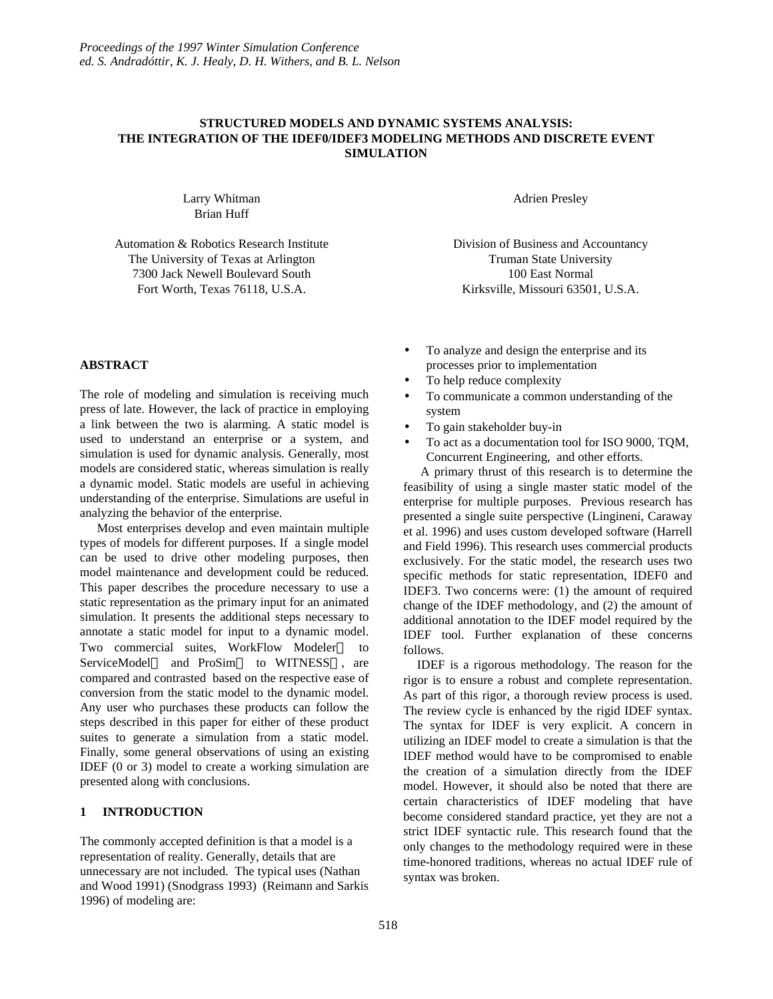# **STRUCTURED MODELS AND DYNAMIC SYSTEMS ANALYSIS: THE INTEGRATION OF THE IDEF0/IDEF3 MODELING METHODS AND DISCRETE EVENT SIMULATION**

Larry Whitman Brian Huff

Automation & Robotics Research Institute The University of Texas at Arlington 7300 Jack Newell Boulevard South Fort Worth, Texas 76118, U.S.A.

**ABSTRACT**

The role of modeling and simulation is receiving much press of late. However, the lack of practice in employing a link between the two is alarming. A static model is used to understand an enterprise or a system, and simulation is used for dynamic analysis. Generally, most models are considered static, whereas simulation is really a dynamic model. Static models are useful in achieving understanding of the enterprise. Simulations are useful in analyzing the behavior of the enterprise.

Most enterprises develop and even maintain multiple types of models for different purposes. If a single model can be used to drive other modeling purposes, then model maintenance and development could be reduced. This paper describes the procedure necessary to use a static representation as the primary input for an animated simulation. It presents the additional steps necessary to annotate a static model for input to a dynamic model. Two commercial suites, WorkFlow Modeler<sup>™</sup> to ServiceModel<sup>TM</sup> and ProSim<sup>TM</sup> to WITNESS<sup>TM</sup>, are compared and contrasted based on the respective ease of conversion from the static model to the dynamic model. Any user who purchases these products can follow the steps described in this paper for either of these product suites to generate a simulation from a static model. Finally, some general observations of using an existing IDEF (0 or 3) model to create a working simulation are presented along with conclusions.

# **1 INTRODUCTION**

The commonly accepted definition is that a model is a representation of reality. Generally, details that are unnecessary are not included. The typical uses (Nathan and Wood 1991) (Snodgrass 1993) (Reimann and Sarkis 1996) of modeling are:

Adrien Presley

Division of Business and Accountancy Truman State University 100 East Normal Kirksville, Missouri 63501, U.S.A.

- To analyze and design the enterprise and its processes prior to implementation
- To help reduce complexity
- To communicate a common understanding of the system
- To gain stakeholder buy-in
- To act as a documentation tool for ISO 9000, TQM, Concurrent Engineering, and other efforts.

A primary thrust of this research is to determine the feasibility of using a single master static model of the enterprise for multiple purposes. Previous research has presented a single suite perspective (Lingineni, Caraway et al. 1996) and uses custom developed software (Harrell and Field 1996). This research uses commercial products exclusively. For the static model, the research uses two specific methods for static representation, IDEF0 and IDEF3. Two concerns were: (1) the amount of required change of the IDEF methodology, and (2) the amount of additional annotation to the IDEF model required by the IDEF tool. Further explanation of these concerns follows.

IDEF is a rigorous methodology. The reason for the rigor is to ensure a robust and complete representation. As part of this rigor, a thorough review process is used. The review cycle is enhanced by the rigid IDEF syntax. The syntax for IDEF is very explicit. A concern in utilizing an IDEF model to create a simulation is that the IDEF method would have to be compromised to enable the creation of a simulation directly from the IDEF model. However, it should also be noted that there are certain characteristics of IDEF modeling that have become considered standard practice, yet they are not a strict IDEF syntactic rule. This research found that the only changes to the methodology required were in these time-honored traditions, whereas no actual IDEF rule of syntax was broken.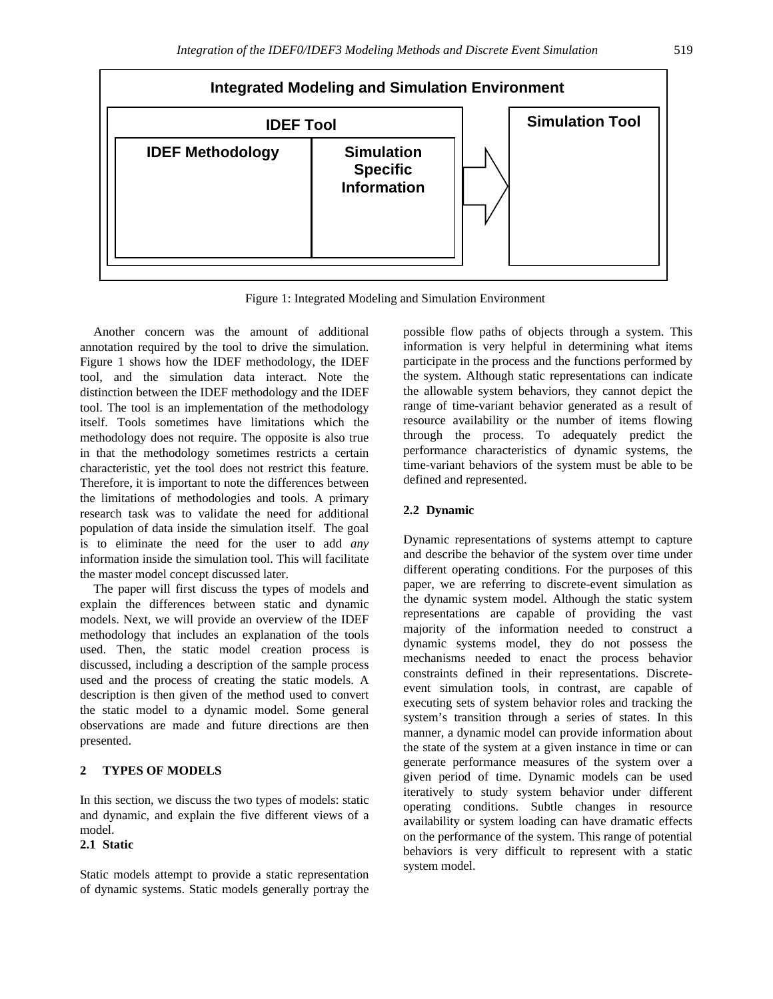

Figure 1: Integrated Modeling and Simulation Environment

Another concern was the amount of additional annotation required by the tool to drive the simulation. Figure 1 shows how the IDEF methodology, the IDEF tool, and the simulation data interact. Note the distinction between the IDEF methodology and the IDEF tool. The tool is an implementation of the methodology itself. Tools sometimes have limitations which the methodology does not require. The opposite is also true in that the methodology sometimes restricts a certain characteristic, yet the tool does not restrict this feature. Therefore, it is important to note the differences between the limitations of methodologies and tools. A primary research task was to validate the need for additional population of data inside the simulation itself. The goal is to eliminate the need for the user to add *any* information inside the simulation tool. This will facilitate the master model concept discussed later.

The paper will first discuss the types of models and explain the differences between static and dynamic models. Next, we will provide an overview of the IDEF methodology that includes an explanation of the tools used. Then, the static model creation process is discussed, including a description of the sample process used and the process of creating the static models. A description is then given of the method used to convert the static model to a dynamic model. Some general observations are made and future directions are then presented.

# **2 TYPES OF MODELS**

In this section, we discuss the two types of models: static and dynamic, and explain the five different views of a model.

# **2.1 Static**

Static models attempt to provide a static representation of dynamic systems. Static models generally portray the

possible flow paths of objects through a system. This information is very helpful in determining what items participate in the process and the functions performed by the system. Although static representations can indicate the allowable system behaviors, they cannot depict the range of time-variant behavior generated as a result of resource availability or the number of items flowing through the process. To adequately predict the performance characteristics of dynamic systems, the time-variant behaviors of the system must be able to be defined and represented.

## **2.2 Dynamic**

Dynamic representations of systems attempt to capture and describe the behavior of the system over time under different operating conditions. For the purposes of this paper, we are referring to discrete-event simulation as the dynamic system model. Although the static system representations are capable of providing the vast majority of the information needed to construct a dynamic systems model, they do not possess the mechanisms needed to enact the process behavior constraints defined in their representations. Discreteevent simulation tools, in contrast, are capable of executing sets of system behavior roles and tracking the system's transition through a series of states. In this manner, a dynamic model can provide information about the state of the system at a given instance in time or can generate performance measures of the system over a given period of time. Dynamic models can be used iteratively to study system behavior under different operating conditions. Subtle changes in resource availability or system loading can have dramatic effects on the performance of the system. This range of potential behaviors is very difficult to represent with a static system model.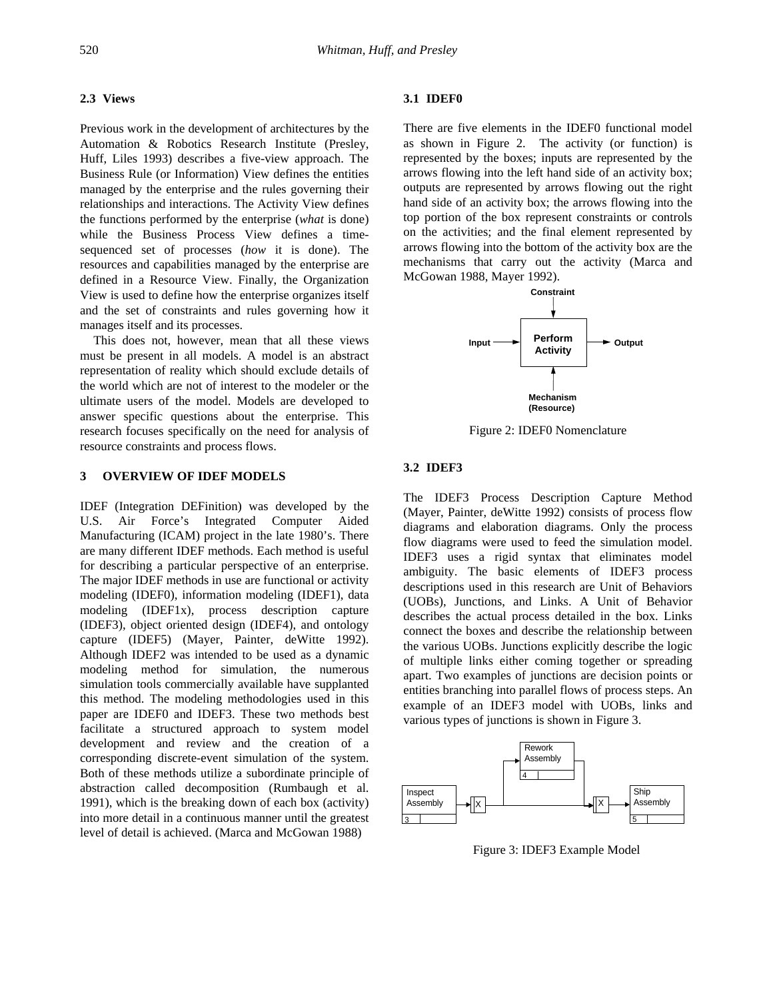## **2.3 Views**

Previous work in the development of architectures by the Automation & Robotics Research Institute (Presley, Huff, Liles 1993) describes a five-view approach. The Business Rule (or Information) View defines the entities managed by the enterprise and the rules governing their relationships and interactions. The Activity View defines the functions performed by the enterprise (*what* is done) while the Business Process View defines a timesequenced set of processes (*how* it is done). The resources and capabilities managed by the enterprise are defined in a Resource View. Finally, the Organization View is used to define how the enterprise organizes itself and the set of constraints and rules governing how it manages itself and its processes.

This does not, however, mean that all these views must be present in all models. A model is an abstract representation of reality which should exclude details of the world which are not of interest to the modeler or the ultimate users of the model. Models are developed to answer specific questions about the enterprise. This research focuses specifically on the need for analysis of resource constraints and process flows.

## **3 OVERVIEW OF IDEF MODELS**

IDEF (Integration DEFinition) was developed by the U.S. Air Force's Integrated Computer Aided Manufacturing (ICAM) project in the late 1980's. There are many different IDEF methods. Each method is useful for describing a particular perspective of an enterprise. The major IDEF methods in use are functional or activity modeling (IDEF0), information modeling (IDEF1), data modeling (IDEF1x), process description capture (IDEF3), object oriented design (IDEF4), and ontology capture (IDEF5) (Mayer, Painter, deWitte 1992). Although IDEF2 was intended to be used as a dynamic modeling method for simulation, the numerous simulation tools commercially available have supplanted this method. The modeling methodologies used in this paper are IDEF0 and IDEF3. These two methods best facilitate a structured approach to system model development and review and the creation of a corresponding discrete-event simulation of the system. Both of these methods utilize a subordinate principle of abstraction called decomposition (Rumbaugh et al. 1991), which is the breaking down of each box (activity) into more detail in a continuous manner until the greatest level of detail is achieved. (Marca and McGowan 1988)

#### **3.1 IDEF0**

There are five elements in the IDEF0 functional model as shown in Figure 2. The activity (or function) is represented by the boxes; inputs are represented by the arrows flowing into the left hand side of an activity box; outputs are represented by arrows flowing out the right hand side of an activity box; the arrows flowing into the top portion of the box represent constraints or controls on the activities; and the final element represented by arrows flowing into the bottom of the activity box are the mechanisms that carry out the activity (Marca and McGowan 1988, Mayer 1992).



Figure 2: IDEF0 Nomenclature

### **3.2 IDEF3**

The IDEF3 Process Description Capture Method (Mayer, Painter, deWitte 1992) consists of process flow diagrams and elaboration diagrams. Only the process flow diagrams were used to feed the simulation model. IDEF3 uses a rigid syntax that eliminates model ambiguity. The basic elements of IDEF3 process descriptions used in this research are Unit of Behaviors (UOBs), Junctions, and Links. A Unit of Behavior describes the actual process detailed in the box. Links connect the boxes and describe the relationship between the various UOBs. Junctions explicitly describe the logic of multiple links either coming together or spreading apart. Two examples of junctions are decision points or entities branching into parallel flows of process steps. An example of an IDEF3 model with UOBs, links and various types of junctions is shown in Figure 3.



Figure 3: IDEF3 Example Model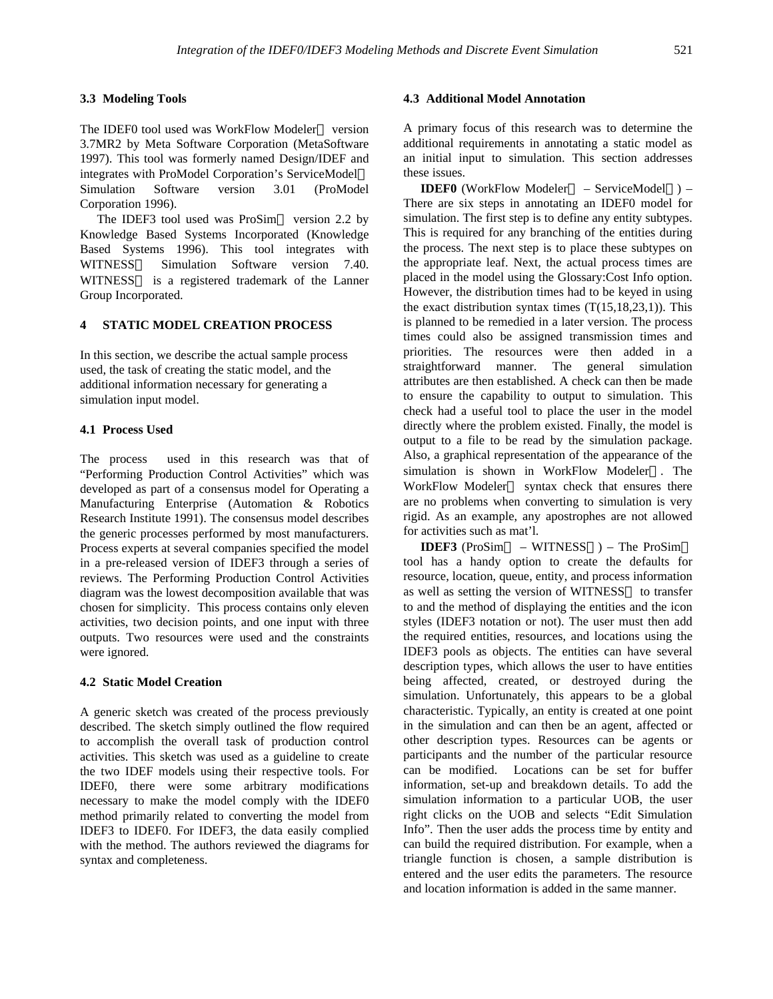## **3.3 Modeling Tools**

The IDEF0 tool used was WorkFlow Modeler™ version 3.7MR2 by Meta Software Corporation (MetaSoftware 1997). This tool was formerly named Design/IDEF and integrates with ProModel Corporation's ServiceModel Simulation Software version 3.01 (ProModel Corporation 1996).

The IDEF3 tool used was ProSim<sup>TM</sup> version 2.2 by Knowledge Based Systems Incorporated (Knowledge Based Systems 1996). This tool integrates with WITNESS<sup>TM</sup> Simulation Software version 7.40. WITNESS<sup>TM</sup> is a registered trademark of the Lanner Group Incorporated.

# **4 STATIC MODEL CREATION PROCESS**

In this section, we describe the actual sample process used, the task of creating the static model, and the additional information necessary for generating a simulation input model.

# **4.1 Process Used**

The process used in this research was that of "Performing Production Control Activities" which was developed as part of a consensus model for Operating a Manufacturing Enterprise (Automation & Robotics Research Institute 1991). The consensus model describes the generic processes performed by most manufacturers. Process experts at several companies specified the model in a pre-released version of IDEF3 through a series of reviews. The Performing Production Control Activities diagram was the lowest decomposition available that was chosen for simplicity. This process contains only eleven activities, two decision points, and one input with three outputs. Two resources were used and the constraints were ignored.

#### **4.2 Static Model Creation**

A generic sketch was created of the process previously described. The sketch simply outlined the flow required to accomplish the overall task of production control activities. This sketch was used as a guideline to create the two IDEF models using their respective tools. For IDEF0, there were some arbitrary modifications necessary to make the model comply with the IDEF0 method primarily related to converting the model from IDEF3 to IDEF0. For IDEF3, the data easily complied with the method. The authors reviewed the diagrams for syntax and completeness.

### **4.3 Additional Model Annotation**

A primary focus of this research was to determine the additional requirements in annotating a static model as an initial input to simulation. This section addresses these issues.

**IDEF0** (WorkFlow Modeler<sup>TM</sup> – ServiceModel<sup>TM</sup>) – There are six steps in annotating an IDEF0 model for simulation. The first step is to define any entity subtypes. This is required for any branching of the entities during the process. The next step is to place these subtypes on the appropriate leaf. Next, the actual process times are placed in the model using the Glossary:Cost Info option. However, the distribution times had to be keyed in using the exact distribution syntax times  $(T(15,18,23,1))$ . This is planned to be remedied in a later version. The process times could also be assigned transmission times and priorities. The resources were then added in a straightforward manner. The general simulation attributes are then established. A check can then be made to ensure the capability to output to simulation. This check had a useful tool to place the user in the model directly where the problem existed. Finally, the model is output to a file to be read by the simulation package. Also, a graphical representation of the appearance of the simulation is shown in WorkFlow Modeler<sup>TM</sup>. The WorkFlow Modeler<sup>TM</sup> syntax check that ensures there are no problems when converting to simulation is very rigid. As an example, any apostrophes are not allowed for activities such as mat'l.

**IDEF3** (ProSim<sup>TM</sup> – WITNESS<sup>TM</sup>) – The ProSim<sup>TM</sup> tool has a handy option to create the defaults for resource, location, queue, entity, and process information as well as setting the version of WITNESS<sup>TM</sup> to transfer to and the method of displaying the entities and the icon styles (IDEF3 notation or not). The user must then add the required entities, resources, and locations using the IDEF3 pools as objects. The entities can have several description types, which allows the user to have entities being affected, created, or destroyed during the simulation. Unfortunately, this appears to be a global characteristic. Typically, an entity is created at one point in the simulation and can then be an agent, affected or other description types. Resources can be agents or participants and the number of the particular resource can be modified. Locations can be set for buffer information, set-up and breakdown details. To add the simulation information to a particular UOB, the user right clicks on the UOB and selects "Edit Simulation Info". Then the user adds the process time by entity and can build the required distribution. For example, when a triangle function is chosen, a sample distribution is entered and the user edits the parameters. The resource and location information is added in the same manner.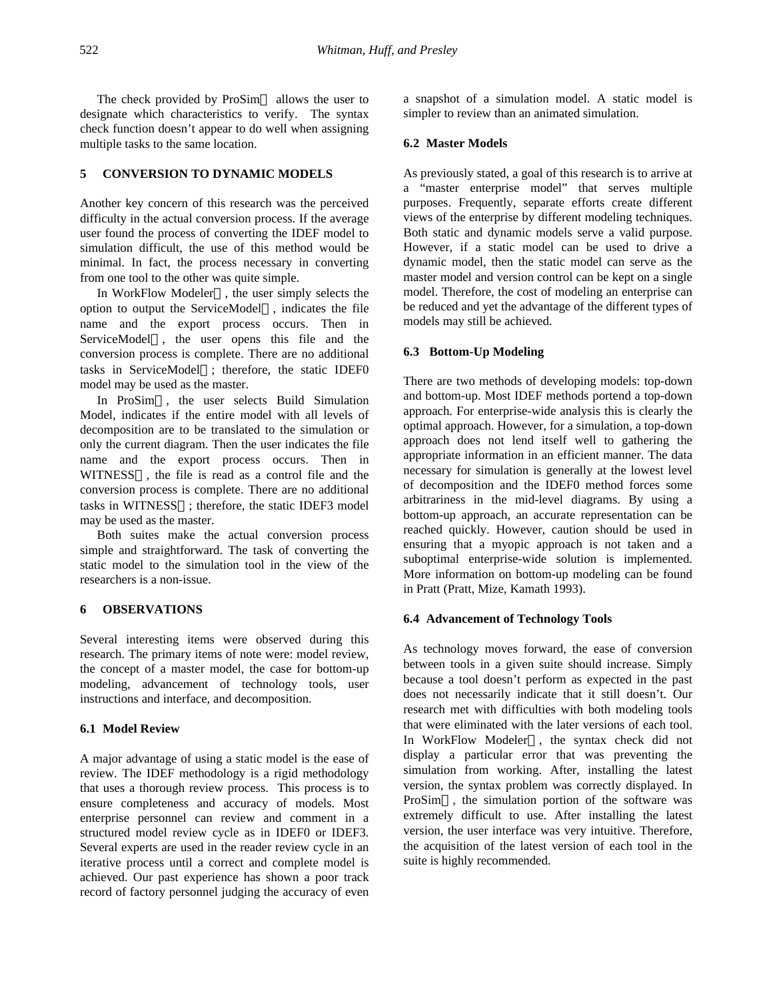The check provided by  $ProSim<sup>TM</sup>$  allows the user to designate which characteristics to verify. The syntax check function doesn't appear to do well when assigning multiple tasks to the same location.

# **5 CONVERSION TO DYNAMIC MODELS**

Another key concern of this research was the perceived difficulty in the actual conversion process. If the average user found the process of converting the IDEF model to simulation difficult, the use of this method would be minimal. In fact, the process necessary in converting from one tool to the other was quite simple.

In WorkFlow Modeler<sup>TM</sup>, the user simply selects the option to output the ServiceModel<sup> $TM$ </sup>, indicates the file name and the export process occurs. Then in ServiceModel<sup>TM</sup>, the user opens this file and the conversion process is complete. There are no additional tasks in ServiceModel<sup>TM</sup>; therefore, the static IDEF0 model may be used as the master.

In ProSim<sup>TM</sup>, the user selects Build Simulation Model, indicates if the entire model with all levels of decomposition are to be translated to the simulation or only the current diagram. Then the user indicates the file name and the export process occurs. Then in WITNESS<sup>TM</sup>, the file is read as a control file and the conversion process is complete. There are no additional tasks in WITNESS<sup>TM</sup>; therefore, the static IDEF3 model may be used as the master.

Both suites make the actual conversion process simple and straightforward. The task of converting the static model to the simulation tool in the view of the researchers is a non-issue.

## **6 OBSERVATIONS**

Several interesting items were observed during this research. The primary items of note were: model review, the concept of a master model, the case for bottom-up modeling, advancement of technology tools, user instructions and interface, and decomposition.

### **6.1 Model Review**

A major advantage of using a static model is the ease of review. The IDEF methodology is a rigid methodology that uses a thorough review process. This process is to ensure completeness and accuracy of models. Most enterprise personnel can review and comment in a structured model review cycle as in IDEF0 or IDEF3. Several experts are used in the reader review cycle in an iterative process until a correct and complete model is achieved. Our past experience has shown a poor track record of factory personnel judging the accuracy of even a snapshot of a simulation model. A static model is simpler to review than an animated simulation.

### **6.2 Master Models**

As previously stated, a goal of this research is to arrive at a "master enterprise model" that serves multiple purposes. Frequently, separate efforts create different views of the enterprise by different modeling techniques. Both static and dynamic models serve a valid purpose. However, if a static model can be used to drive a dynamic model, then the static model can serve as the master model and version control can be kept on a single model. Therefore, the cost of modeling an enterprise can be reduced and yet the advantage of the different types of models may still be achieved.

## **6.3 Bottom-Up Modeling**

There are two methods of developing models: top-down and bottom-up. Most IDEF methods portend a top-down approach. For enterprise-wide analysis this is clearly the optimal approach. However, for a simulation, a top-down approach does not lend itself well to gathering the appropriate information in an efficient manner. The data necessary for simulation is generally at the lowest level of decomposition and the IDEF0 method forces some arbitrariness in the mid-level diagrams. By using a bottom-up approach, an accurate representation can be reached quickly. However, caution should be used in ensuring that a myopic approach is not taken and a suboptimal enterprise-wide solution is implemented. More information on bottom-up modeling can be found in Pratt (Pratt, Mize, Kamath 1993).

### **6.4 Advancement of Technology Tools**

As technology moves forward, the ease of conversion between tools in a given suite should increase. Simply because a tool doesn't perform as expected in the past does not necessarily indicate that it still doesn't. Our research met with difficulties with both modeling tools that were eliminated with the later versions of each tool. In WorkFlow Modeler<sup>TM</sup>, the syntax check did not display a particular error that was preventing the simulation from working. After, installing the latest version, the syntax problem was correctly displayed. In  $ProSim<sup>TM</sup>$ , the simulation portion of the software was extremely difficult to use. After installing the latest version, the user interface was very intuitive. Therefore, the acquisition of the latest version of each tool in the suite is highly recommended.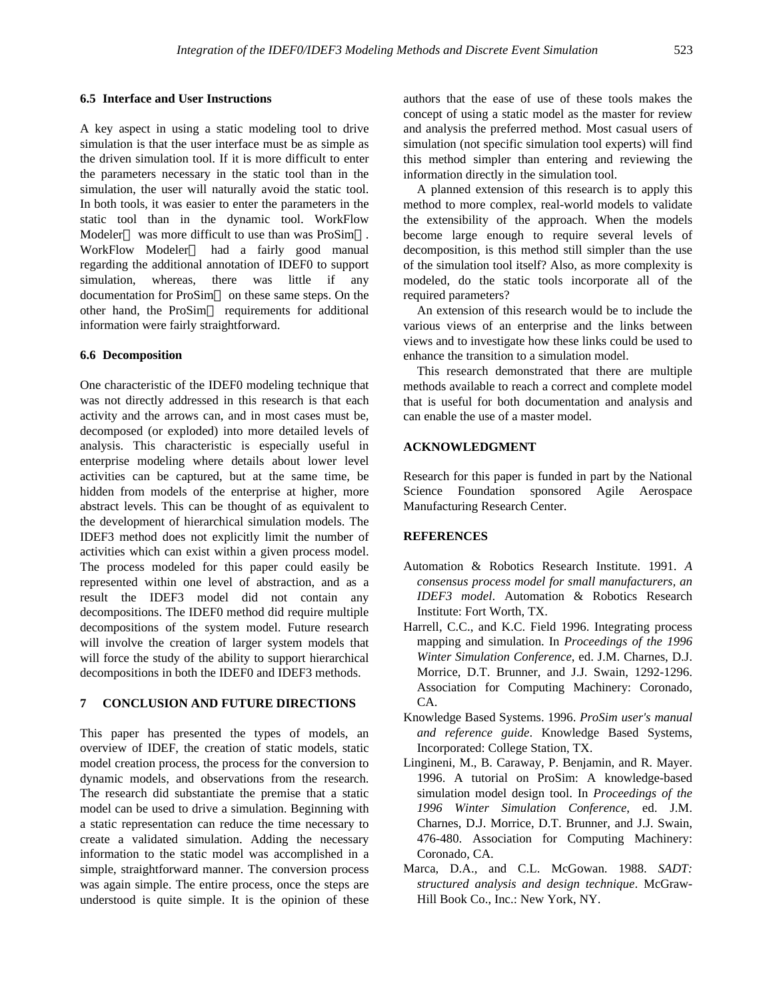#### **6.5 Interface and User Instructions**

A key aspect in using a static modeling tool to drive simulation is that the user interface must be as simple as the driven simulation tool. If it is more difficult to enter the parameters necessary in the static tool than in the simulation, the user will naturally avoid the static tool. In both tools, it was easier to enter the parameters in the static tool than in the dynamic tool. WorkFlow Modeler<sup>TM</sup> was more difficult to use than was ProSim<sup>TM</sup>. WorkFlow Modeler<sup>™</sup> had a fairly good manual regarding the additional annotation of IDEF0 to support simulation, whereas, there was little if any documentation for  $ProSim<sup>TM</sup>$  on these same steps. On the other hand, the ProSim<sup>TM</sup> requirements for additional information were fairly straightforward.

## **6.6 Decomposition**

One characteristic of the IDEF0 modeling technique that was not directly addressed in this research is that each activity and the arrows can, and in most cases must be, decomposed (or exploded) into more detailed levels of analysis. This characteristic is especially useful in enterprise modeling where details about lower level activities can be captured, but at the same time, be hidden from models of the enterprise at higher, more abstract levels. This can be thought of as equivalent to the development of hierarchical simulation models. The IDEF3 method does not explicitly limit the number of activities which can exist within a given process model. The process modeled for this paper could easily be represented within one level of abstraction, and as a result the IDEF3 model did not contain any decompositions. The IDEF0 method did require multiple decompositions of the system model. Future research will involve the creation of larger system models that will force the study of the ability to support hierarchical decompositions in both the IDEF0 and IDEF3 methods.

# **7 CONCLUSION AND FUTURE DIRECTIONS**

This paper has presented the types of models, an overview of IDEF, the creation of static models, static model creation process, the process for the conversion to dynamic models, and observations from the research. The research did substantiate the premise that a static model can be used to drive a simulation. Beginning with a static representation can reduce the time necessary to create a validated simulation. Adding the necessary information to the static model was accomplished in a simple, straightforward manner. The conversion process was again simple. The entire process, once the steps are understood is quite simple. It is the opinion of these

authors that the ease of use of these tools makes the concept of using a static model as the master for review and analysis the preferred method. Most casual users of simulation (not specific simulation tool experts) will find this method simpler than entering and reviewing the information directly in the simulation tool.

A planned extension of this research is to apply this method to more complex, real-world models to validate the extensibility of the approach. When the models become large enough to require several levels of decomposition, is this method still simpler than the use of the simulation tool itself? Also, as more complexity is modeled, do the static tools incorporate all of the required parameters?

An extension of this research would be to include the various views of an enterprise and the links between views and to investigate how these links could be used to enhance the transition to a simulation model.

This research demonstrated that there are multiple methods available to reach a correct and complete model that is useful for both documentation and analysis and can enable the use of a master model.

# **ACKNOWLEDGMENT**

Research for this paper is funded in part by the National Science Foundation sponsored Agile Aerospace Manufacturing Research Center.

## **REFERENCES**

- Automation & Robotics Research Institute. 1991. *A consensus process model for small manufacturers, an IDEF3 model*. Automation & Robotics Research Institute: Fort Worth, TX.
- Harrell, C.C., and K.C. Field 1996. Integrating process mapping and simulation. In *Proceedings of the 1996 Winter Simulation Conference*, ed. J.M. Charnes, D.J. Morrice, D.T. Brunner, and J.J. Swain, 1292-1296. Association for Computing Machinery: Coronado, CA.
- Knowledge Based Systems. 1996. *ProSim user's manual and reference guide*. Knowledge Based Systems, Incorporated: College Station, TX.
- Lingineni, M., B. Caraway, P. Benjamin, and R. Mayer. 1996. A tutorial on ProSim: A knowledge-based simulation model design tool. In *Proceedings of the 1996 Winter Simulation Conference*, ed. J.M. Charnes, D.J. Morrice, D.T. Brunner, and J.J. Swain, 476-480. Association for Computing Machinery: Coronado, CA.
- Marca, D.A., and C.L. McGowan. 1988. *SADT: structured analysis and design technique*. McGraw-Hill Book Co., Inc.: New York, NY.